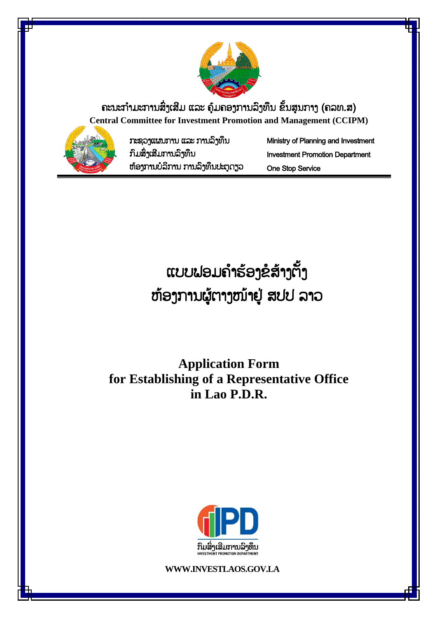

ຄະນະກຳມະການສິ່ງເສີມ ແລະ ຄຸ້ມຄອງການລິງທຶນ ຂັ້ນສູນກາງ (ຄລທ.ສ) **Central Committee for Investment Promotion and Management (CCIPM)**



ກະຊວງແຜນກຳນ ແລະ ກຳນລົງທຶນ ກົມສົົ່ງເສີມກຳນລົງທຶນ ຫຸ້ອງກຳນບໍລິກຳນ ກຳນລົງທຶນປະຕູດຽວ Ministry of Planning and Investment Investment Promotion Department One Stop Service

ແບບຟອມຄຳຮ້ອງຂໍສ້າງຕັ້ງ ຫຸ້ອງກຳນຜູຸ້ຕຳງໜຸ້ຳຢູູ່ ສປປ ລຳວ

**Application Form for Establishing of a Representative Office in Lao P.D.R.**



**WWW.INVESTLAOS.GOV.LA**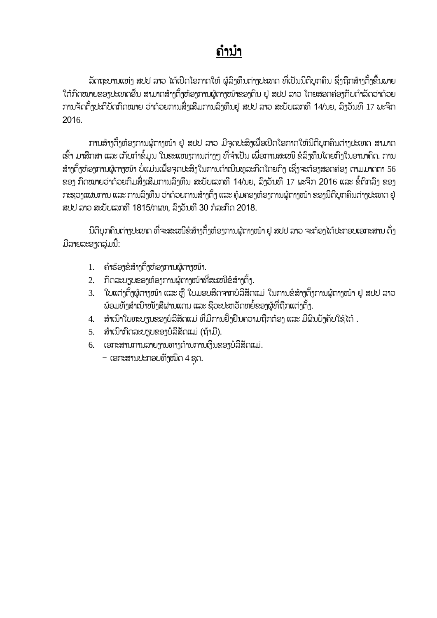# ຄຳນຳ

ລັດຖະບານແຫ່ງ ສປປ ລາວ ໄດ້ເປີດໂອກາດໃຫ້ ຜູ້ລຶງທຶນຕ່າງປະເທດ ທີ່ເປັນນິຕິບຸກຄົນ ຊຶ່ງຖືກສ້າງຕັ້ງຂື້ນພາຍ ໃຕ້ກົດໝາຍຂອງປະເທດອື່ນ ສາມາດສ້າງຕ້ຳຫ້ອງການຜູ້ຕາງໜ້າຂອງຕົນ ຢ່ ສປປ ລາວ ໂດຍສອດຄ່ອງກັບດຳລັດວ່າດ້ວຍ ການຈັດຕັ້ງປະຕິບັດກົດໝາຍ ວ່າດ້ວຍການສິ່ງເສີມການລົງທຶນຢູ່ ສປປ ລາວ ສະບັບເລກທີ 14/ນຍ, ລິງວັນທີ 17 ພະຈິກ 2016.

ການສ້າງຕ້ຳຫ້ອງການຜູ້ຕາງໜ້າ ຢູ່ ສປປ ລາວ ມີຈຸດປະສິງເພື່ອເປີດໂອກາດໃຫ້ນິຕິບກຄົນຕ່າງປະເທດ ສາມາດ ເຂົ້າ ມາສືກສາ ແລະ ເກັບກຳຂໍ້ມູນ ໃນຂະແໜງການຕ່າງໆ ທີ່ຈຳເປັນ ເພື່ອການສະເໜີ ຂໍລິງທຶນໂດຍກົງໃນອານາຄິດ. ການ ສ້າງຕັ້ງຫ້ອງການຜູ້ຕາງໜ້າ ບໍ່ແມ່ນເພື່ອຈຸດປະສິງໃນການດຳເນີນທຸລະກິດໂດຍກົງ ເຊິ່ງຈະຕ້ອງສອດຄ່ອງ ຕາມມາດຕາ 56 ຂອງ ກົດໝາຍວ່າດ້ວຍກິມສິ່ງເສີມການລິງທຶນ ສະບັບເລກທີ 14/ນຍ, ລິງວັນທີ 17 ພະຈິກ 2016 ແລະ ຂໍ້ຕົກລິງ ຂອງ ກະຊວງແຜນການ ແລະ ການລິງທຶນ ວ່າດ້ວຍການສ້າງຕັ້ງ ແລະ ຄຸ້ມຄອງຫ້ອງການຜູ້ຕາງໜ້າ ຂອງນິຕິບຸກຄົນຕ່າງປະເທດ ຢູ່ ສປປ ລາວ ສະບັບເລກທີ 1815/ກຜທ. ລົາວັນທີ 30 ກໍລະກົດ 2018.

ນິຕິບກຄົນຕ່າງປະເທດ ທີ່ຈະສະເໜີຂໍສ້າງຕ້ຳຫ້ອງການຜູ້ຕາງໜ້າ ຢູ່ ສປປ ລາວ ຈະກ້ອງໄດ້ປະກອບເອກະສານ ດັ່ງ ມີລາຍລະອຽດລຸ່ມນີ້:

- 1. ຄ ຳຮຸ້ອງຂໍສຸ້ຳງຕ ັ້ງຫຸ້ອງກຳນຜູຸ້ຕຳງໜຸ້ຳ.
- 2. ກິດລະບຽບຂອງຫ້ອງການຜູ້ຕາງໜ້າທີ່ສະເໜີຂໍສ້າງຕ້ຳ.
- 3. ໃບແຕ່ງຕ້ຳຜູ່ຕາງໜ້າ ແລະ ຫື ໃບມອບສິດຈາກບໍລິສັດແມ່ ໃນການຂໍ່ສ້າງຕ້າການຜູ້ຕາງໜ້າ ຢ່ ສປປ ລາວ ພ່ອມທັງສຳເນົາໜັງສືຜ່ານແດນ ແລະ ຊີວະປະຫວັດຫຍໍ້ຂອງຜູ້ທີ່ຖືກແຕ່ງຕັ້ງ.
- 4. ສຳເນົາໃບທະບຽນຂອງບໍລິສັດແມ່ ທີ່ມີການຢ້ຳຢືນຄວາມຖືກຕ້ອງ ແລະ ມີຜົນບ້າຄັບໃຊ້ໄດ້ .
- 5. ສຳເນົາກົດລະບຽບຂອງບໍລິສັດແມ່ (ຖ້າມີ).
- 6. ເອກະສຳນກຳນລຳຍງຳນທຳງດຸ້ຳນກຳນເງິນຂອງບໍລິສ ດແມ່.
	- $-$  ເອກະສານປະກອບທັງໝົດ 4 ຊຸດ.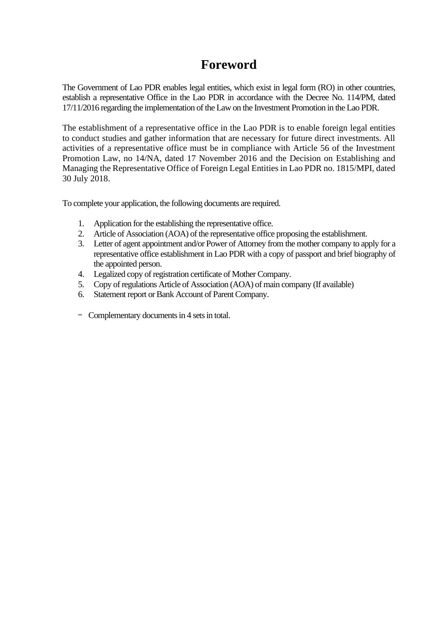### **Foreword**

The Government of Lao PDR enables legal entities, which exist in legal form (RO) in other countries, establish a representative Office in the Lao PDR in accordance with the Decree No. 114/PM, dated 17/11/2016 regarding the implementation of the Law on the Investment Promotion in the Lao PDR.

The establishment of a representative office in the Lao PDR is to enable foreign legal entities to conduct studies and gather information that are necessary for future direct investments. All activities of a representative office must be in compliance with Article 56 of the Investment Promotion Law, no 14/NA, dated 17 November 2016 and the Decision on Establishing and Managing the Representative Office of Foreign Legal Entities in Lao PDR no. 1815/MPI, dated 30 July 2018.

To complete your application, the following documents are required.

- 1. Application for the establishing the representative office.
- 2. Article of Association (AOA) of the representative office proposing the establishment.
- 3. Letter of agent appointment and/or Power of Attorney from the mother company to apply for a representative office establishment in Lao PDR with a copy of passport and brief biography of the appointed person.
- 4. Legalized copy of registration certificate of Mother Company.
- 5. Copy of regulations Article of Association (AOA) of main company (If available)
- 6. Statement report or Bank Account of Parent Company.
- Complementary documents in 4 sets in total.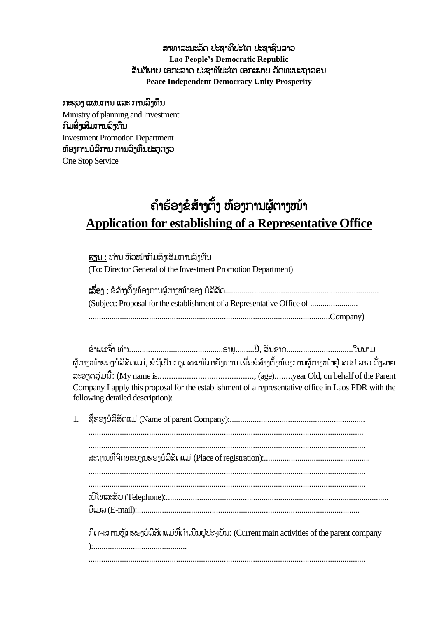#### ສາທາລະນະລັດ ປະຊາທິປະໄຕ ປະຊາຊົນລາວ **Lao People's Democratic Republic** ສັນຕິພາບ ເອກະລາດ ປະຊາທິປະໄຕ ເອກະພາບ ວັດທະນະຖາວອນ **Peace Independent Democracy Unity Prosperity**

### ກະຊວງ ແຜນກຳນ ແລະ ກຳນລົງທຶນ

Ministry of planning and Investment ກົມສົົ່ງເສີມກຳນລົງທຶນ Investment Promotion Department ຫຸ້ອງກຳນບໍລິກຳນ ກຳນລົງທຶນປະຕູດຽວ One Stop Service

# <u>ຄຳຮ້ອງຂໍສ້າງຕັ້ງ ຫ້ອງການຜູ້ຕາງໜ້າ</u> **Application for establishing of a Representative Office**

ຮຽນ : ທ່ຳນ ຫົວໜຸ້ຳກົມສົົ່ງເສີມກຳນລົງທຶນ (To: Director General of the Investment Promotion Department)

| (Subject: Proposal for the establishment of a Representative Office of |
|------------------------------------------------------------------------|
|                                                                        |

| ຜູ້ຕາງໜ້າຂອງບໍລິສັດແມ່, ຂໍຖືເປັນກຽດສະເໜີມາຍັງທ່ານ ເພື່ອຂໍສ້າງຕັ້ງຫ້ອງການຜູ້ຕາງໜ້າຢູ່ ສປປ ລາວ ດັ່ງລາຍ |  |  |
|------------------------------------------------------------------------------------------------------|--|--|
|                                                                                                      |  |  |
| Company I apply this proposal for the establishment of a representative office in Laos PDR with the  |  |  |
| following detailed description):                                                                     |  |  |

| ກິດຈະການຫຼັກຂອງບໍລິສັດແມ່ທີ່ດໍາເນີນຢູ່ປະຈຸບັນ: (Current main activities of the parent company |
|-----------------------------------------------------------------------------------------------|

):.............................................

.....................................................................................................................................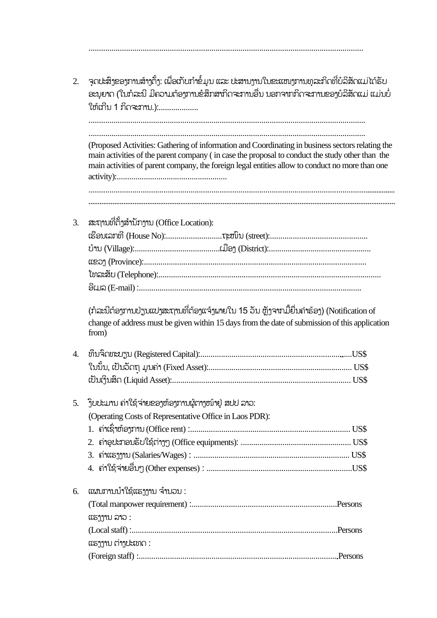| ອະນຸຍາດ (ໃນກໍລະນີ ມີຄວາມຕ້ອງການຂໍສຶກສາກິດຈະການອື່ນ ນອກຈາກກິດຈະການຂອງບໍລິສັດແມ່ ແມ່ນບໍ່                                                                                                                                                                                                                 |      |  |  |  |  |
|--------------------------------------------------------------------------------------------------------------------------------------------------------------------------------------------------------------------------------------------------------------------------------------------------------|------|--|--|--|--|
| ໃຫ້ເກີນ 1 ກິດຈະການ.):                                                                                                                                                                                                                                                                                  |      |  |  |  |  |
| (Proposed Activities: Gathering of information and Coordinating in business sectors relating the<br>main activities of the parent company (in case the proposal to conduct the study other than the<br>main activities of parent company, the foreign legal entities allow to conduct no more than one |      |  |  |  |  |
| ສະຖານທີ່ຕັ້ງສໍານັກງານ (Office Location):                                                                                                                                                                                                                                                               |      |  |  |  |  |
|                                                                                                                                                                                                                                                                                                        |      |  |  |  |  |
|                                                                                                                                                                                                                                                                                                        |      |  |  |  |  |
|                                                                                                                                                                                                                                                                                                        |      |  |  |  |  |
|                                                                                                                                                                                                                                                                                                        |      |  |  |  |  |
|                                                                                                                                                                                                                                                                                                        |      |  |  |  |  |
| (ກໍລະນີຕ້ອງການປ່ຽນແປງສະຖານທີ່ຕ້ອງແຈ້ງພາຍໃນ 15 ວັນ ຫຼັງຈາກມື້ຍື່ນຄຳຮ້ອງ) (Notification of                                                                                                                                                                                                               |      |  |  |  |  |
|                                                                                                                                                                                                                                                                                                        |      |  |  |  |  |
| change of address must be given within 15 days from the date of submission of this application<br>from)                                                                                                                                                                                                |      |  |  |  |  |
|                                                                                                                                                                                                                                                                                                        |      |  |  |  |  |
|                                                                                                                                                                                                                                                                                                        | US\$ |  |  |  |  |
|                                                                                                                                                                                                                                                                                                        |      |  |  |  |  |
|                                                                                                                                                                                                                                                                                                        |      |  |  |  |  |
|                                                                                                                                                                                                                                                                                                        |      |  |  |  |  |
|                                                                                                                                                                                                                                                                                                        |      |  |  |  |  |
| ງົບປະມານ ຄ່າໃຊ້ຈ່າຍຂອງຫ້ອງການຜູ້ຕາງໜ້າຢູ່ ສປປ ລາວ:<br>(Operating Costs of Representative Office in Laos PDR):                                                                                                                                                                                          |      |  |  |  |  |
|                                                                                                                                                                                                                                                                                                        |      |  |  |  |  |
|                                                                                                                                                                                                                                                                                                        |      |  |  |  |  |
| ແຜນການນຳໃຊ້ແຮງງານ ຈຳນວນ :                                                                                                                                                                                                                                                                              |      |  |  |  |  |

....................................................................................................................................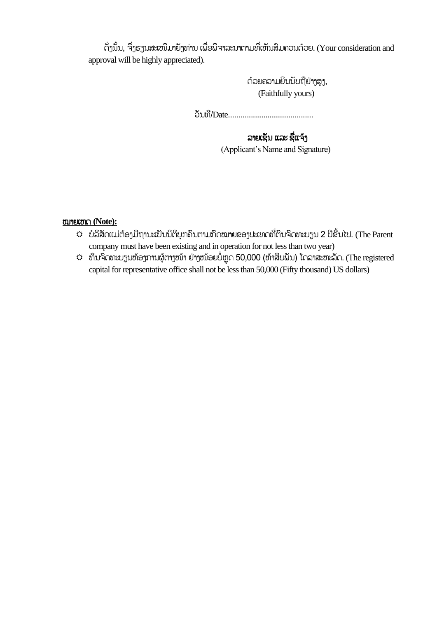ດັ່ງນັ້ນ, ຈຶ່ງຮຽນສະເໜີມາຍັງທ່ານ ເພື່ອພິຈາລະນາຕາມທີ່ເຫັນສຶມຄວນດ້ວຍ. (Your consideration and approval will be highly appreciated).

> ດ້ວຍຄວາມຍິນນັບຖືຢ່າງສູງ, (Faithfully yours)

ວ ນທີ/Date.........................................

### ລາຍເຊັນ ແລະ ຊື່ແຈ້ງ

(Applicant's Name and Signature)

ໝຳຍເຫດ **(Note):**

- $\hat{\varphi}$  ບໍລິສັດແມ່ຕ້ອງມີຖານະເປັນນິຕິບຸກຄົນຕາມກົດໝາຍຂອງປະເທດທີ່ຕຶນຈິດທະບຽນ 2 ປີຂື້ນໄປ. (The Parent company must have been existing and in operation for not less than two year)
- $\hat{\varphi}$  ທຶນຈິດທະບຽນຫ້ອງການຜູ້ຕາງໜ້າ ຢ່າງໜ້ອຍບໍ່ຫຼຸດ 50,000 (ຫ້າສິບພັນ) ໂດລາສະຫະລັດ. (The registered capital for representative office shall not be less than 50,000 (Fifty thousand) US dollars)